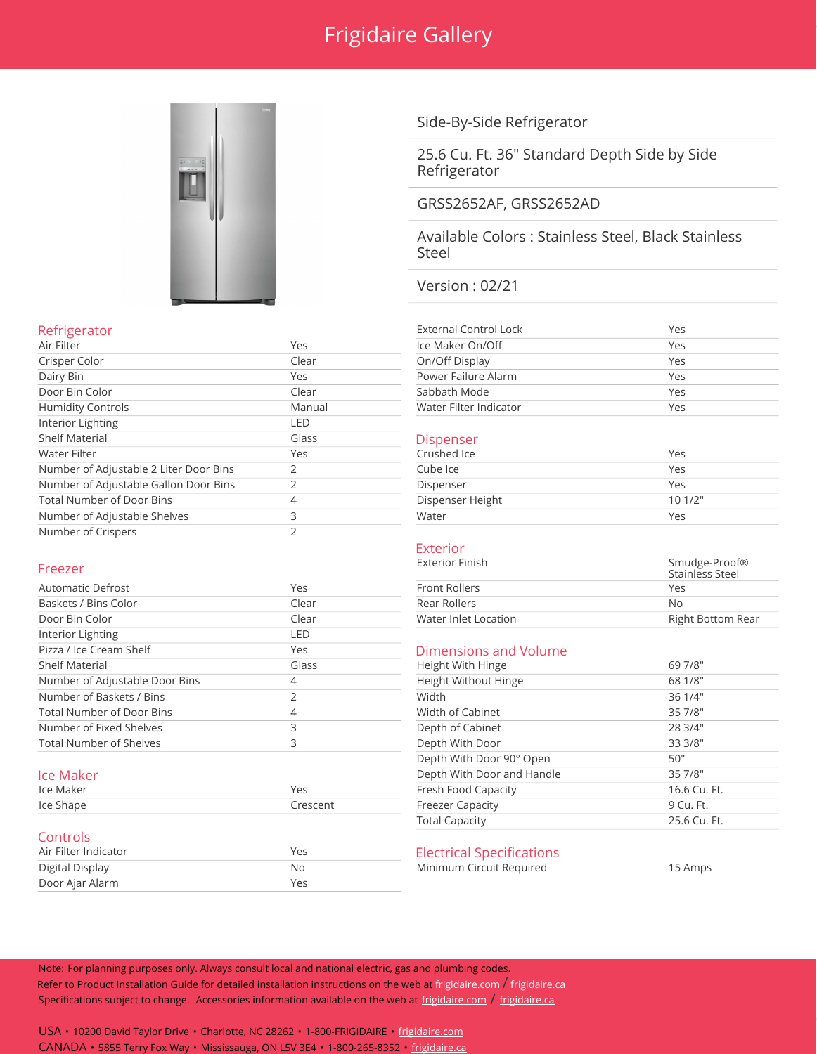## Frigidaire Gallery



## Refrigerator

**Controls** 

| Air Filter                             | Yes    | Ice Maker On/Off       | Yes   |
|----------------------------------------|--------|------------------------|-------|
| Crisper Color                          | Clear  | On/Off Display         | Yes   |
| Dairy Bin                              | Yes    | Power Failure Alarm    | Yes   |
| Door Bin Color                         | Clear  | Sabbath Mode           | Yes   |
| <b>Humidity Controls</b>               | Manual | Water Filter Indicator | Yes   |
| Interior Lighting                      | LED    |                        |       |
| <b>Shelf Material</b>                  | Glass  | <b>Dispenser</b>       |       |
| Water Filter                           | Yes    | Crushed Ice            | Yes   |
| Number of Adjustable 2 Liter Door Bins |        | Cube Ice               | Yes   |
| Number of Adjustable Gallon Door Bins  |        | Dispenser              | Yes   |
| <b>Total Number of Door Bins</b>       | 4      | Dispenser Height       | 101/2 |
| Number of Adjustable Shelves           | 3      | Water                  | Yes   |
| Number of Crispers                     |        |                        |       |

Interior Lighting LED

Door Ajar Alarm Yes

## Side-By-Side Refrigerator

25.6 Cu. Ft. 36" Standard Depth Side by Side Refrigerator

## GRSS2652AF, GRSS2652AD

Available Colors : Stainless Steel, Black Stainless Steel

## Version : 02/21

| <b>External Control Lock</b> | Yes |
|------------------------------|-----|
| Ice Maker On/Off             | Yes |
| On/Off Display               | Yes |
| Power Failure Alarm          | Yes |
| Sabbath Mode                 | Yes |
| Water Filter Indicator       | Yes |

#### **Dispenser**

| Crushed Ice      | Yes    |
|------------------|--------|
| Cube Ice         | Yes    |
| Dispenser        | Yes    |
| Dispenser Height | 101/2" |
| Water            | Yes    |

#### Exterior

| Freezer              |       | Exterior Finish      | Smudge-Proof®<br>Stainless Steel |
|----------------------|-------|----------------------|----------------------------------|
| Automatic Defrost    | Yes   | Front Rollers        | Yes                              |
| Baskets / Bins Color | Clear | Rear Rollers         | No                               |
| Door Bin Color       | Clear | Water Inlet Location | Right Bottom Rear                |
|                      |       |                      |                                  |

# Pizza / Ice Cream Shelf **Yes** Yes Dimensions and Volume<br>
Shelf Material Shelf Material Glass Glass Height With Hinge

| - - -                            |            |                            |              |
|----------------------------------|------------|----------------------------|--------------|
|                                  |            | <b>Total Capacity</b>      | 25.6 Cu. Ft. |
| Ice Shape                        | Crescent   | <b>Freezer Capacity</b>    | 9 Cu. Ft.    |
| Ice Maker                        | <b>Yes</b> | Fresh Food Capacity        | 16.6 Cu. Ft. |
| lce Maker                        |            | Depth With Door and Handle | 35 7/8"      |
|                                  |            | Depth With Door 90° Open   | 50"          |
| <b>Total Number of Shelves</b>   |            | Depth With Door            | 33 3/8"      |
| Number of Fixed Shelves          |            | Depth of Cabinet           | 28 3/4"      |
| <b>Total Number of Door Bins</b> | 4          | Width of Cabinet           | 35 7/8"      |
| Number of Baskets / Bins         |            | Width                      | 36 1/4"      |
| Number of Adjustable Door Bins   | 4          | Height Without Hinge       | 68 1/8"      |
| <b>Shelf Material</b>            | Glass      | Height With Hinge          | 69 7/8"      |

#### Air Filter Indicator **No. 2018** Yes **Electrical Specifications**

Digital Display No Minimum Circuit Required 15 Amps

Note: For planning purposes only. Always consult local and national electric, gas and plumbing codes. Refer to Product Installation Guide for detailed installation instructions on the web at [frigidaire.com](http://frigidaire.com/) / [frigidaire.ca](http://frigidaire.ca/) Specifications subject to change. Accessories information available on the web at [frigidaire.com](http://frigidaire.com/) / [frigidaire.ca](http://frigidaire.ca/)

USA • 10200 David Taylor Drive • Charlotte, NC 28262 • 1-800-FRIGIDAIRE • [frigidaire.com](http://frigidaire.com/) CANADA • 5855 Terry Fox Way • Mississauga, ON L5V 3E4 • 1-800-265-8352 • [frigidaire.ca](http://frigidaire.ca/)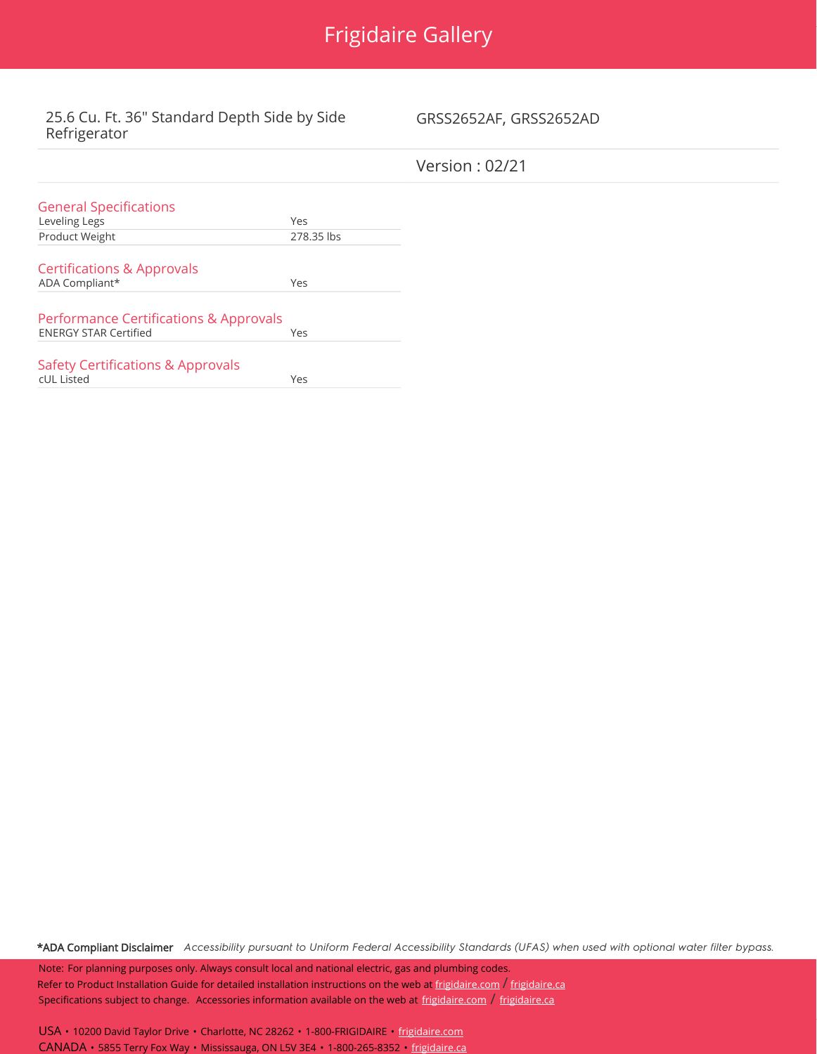

## 25.6 Cu. Ft. 36" Standard Depth Side by Side Refrigerator

## GRSS2652AF, GRSS2652AD

|                                              |            | Version : $02/21$ |
|----------------------------------------------|------------|-------------------|
| <b>General Specifications</b>                |            |                   |
| Leveling Legs                                | Yes        |                   |
| Product Weight                               | 278.35 lbs |                   |
| <b>Certifications &amp; Approvals</b>        |            |                   |
| ADA Compliant*                               | Yes        |                   |
| Performance Certifications & Approvals       |            |                   |
| <b>ENERGY STAR Certified</b>                 | Yes        |                   |
| <b>Safety Certifications &amp; Approvals</b> |            |                   |
| cUL Listed                                   | Yes        |                   |

\*ADA Compliant Disclaimer Accessibility pursuant to Uniform Federal Accessibility Standards (UFAS) when used with optional water filter bypass.

Note: For planning purposes only. Always consult local and national electric, gas and plumbing codes. Refer to Product Installation Guide for detailed installation instructions on the web at [frigidaire.com](http://frigidaire.com/) / [frigidaire.ca](http://frigidaire.ca/) Specifications subject to change. Accessories information available on the web at [frigidaire.com](http://frigidaire.com/) / [frigidaire.ca](http://frigidaire.ca/)